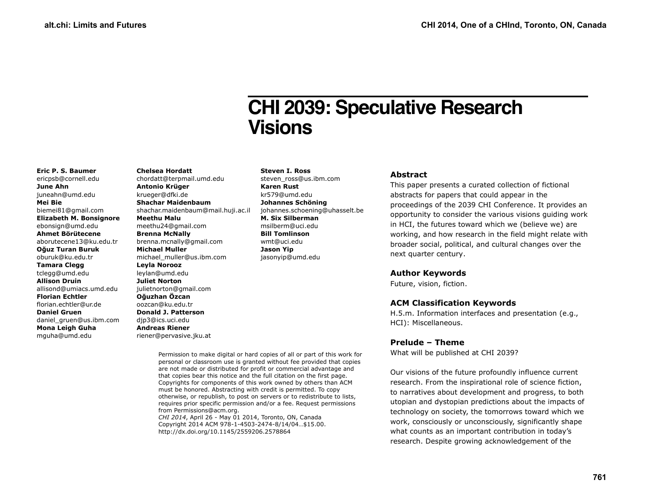# **CHI 2039: Speculative Research Visions**

#### **Eric P. S. Baumer** ericpsb@cornell.edu **June Ahn** juneahn@umd.edu **Mei Bie** biemei81@gmail.com **Elizabeth M. Bonsignore** ebonsign@umd.edu **Ahmet Börütecene** aborutecene13@ku.edu.tr **Oğuz Turan Buruk** oburuk@ku.edu.tr **Tamara Clegg** tclegg@umd.edu **Allison Druin** allisond@umiacs.umd.edu **Florian Echtler** florian.echtler@ur.de **Daniel Gruen** daniel\_gruen@us.ibm.com

**Mona Leigh Guha** mguha@umd.edu

**Chelsea Hordatt** chordatt@terpmail.umd.edu **Antonio Krüger** krueger@dfki.de **Shachar Maidenbaum** shachar.maidenbaum@mail.huji.ac.il **Meethu Malu** meethu24@gmail.com **Brenna McNally** brenna.mcnally@gmail.com **Michael Muller** michael\_muller@us.ibm.com **Leyla Norooz** leylan@umd.edu **Juliet Norton** julietnorton@gmail.com **Oğuzhan Özcan** oozcan@ku.edu.tr **Donald J. Patterson** djp3@ics.uci.edu **Andreas Riener** riener@pervasive.jku.at

**Steven I. Ross**

steven\_ross@us.ibm.com **Karen Rust** kr579@umd.edu **Johannes Schöning** johannes.schoening@uhasselt.be **M. Six Silberman** msilberm@uci.edu **Bill Tomlinson** wmt@uci.edu **Jason Yip** jasonyip@umd.edu

## **Abstract**

This paper presents a curated collection of fictional abstracts for papers that could appear in the proceedings of the 2039 CHI Conference. It provides an opportunity to consider the various visions guiding work in HCI, the futures toward which we (believe we) are working, and how research in the field might relate with broader social, political, and cultural changes over the next quarter century.

#### **Author Keywords**

Future, vision, fiction.

# **ACM Classification Keywords**

H.5.m. Information interfaces and presentation (e.g., HCI): Miscellaneous.

# **Prelude – Theme**

What will be published at CHI 2039?

Our visions of the future profoundly influence current research. From the inspirational role of science fiction, to narratives about development and progress, to both utopian and dystopian predictions about the impacts of technology on society, the tomorrows toward which we work, consciously or unconsciously, significantly shape what counts as an important contribution in today's research. Despite growing acknowledgement of the

Permission to make digital or hard copies of all or part of this work for personal or classroom use is granted without fee provided that copies are not made or distributed for profit or commercial advantage and that copies bear this notice and the full citation on the first page. Copyrights for components of this work owned by others than ACM must be honored. Abstracting with credit is permitted. To copy otherwise, or republish, to post on servers or to redistribute to lists, requires prior specific permission and/or a fee. Request permissions from Permissions@acm.org.

*CHI 2014*, April 26 - May 01 2014, Toronto, ON, Canada Copyright 2014 ACM 978-1-4503-2474-8/14/04…\$15.00. http://dx.doi.org/10.1145/2559206.2578864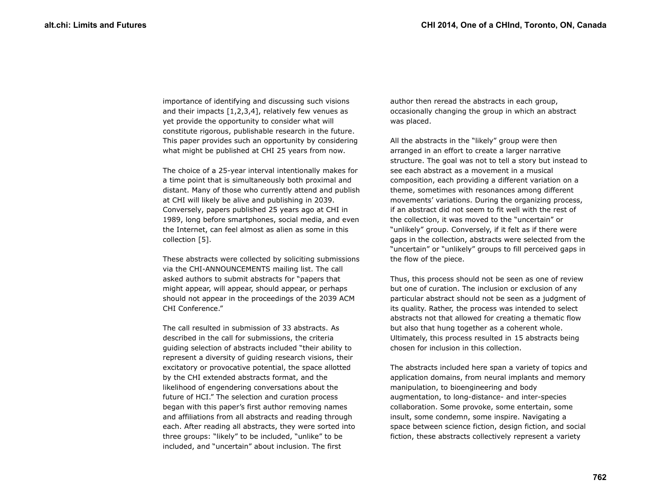importance of identifying and discussing such visions and their impacts  $[1,2,3,4]$ , relatively few venues as yet provide the opportunity to consider what will constitute rigorous, publishable research in the future. This paper provides such an opportunity by considering what might be published at CHI 25 years from now.

The choice of a 25-year interval intentionally makes for a time point that is simultaneously both proximal and distant. Many of those who currently attend and publish at CHI will likely be alive and publishing in 2039. Conversely, papers published 25 years ago at CHI in 1989, long before smartphones, social media, and even the Internet, can feel almost as alien as some in this collection [5].

These abstracts were collected by soliciting submissions via the CHI-ANNOUNCEMENTS mailing list. The call asked authors to submit abstracts for "papers that might appear, will appear, should appear, or perhaps should not appear in the proceedings of the 2039 ACM CHI Conference."

The call resulted in submission of 33 abstracts. As described in the call for submissions, the criteria guiding selection of abstracts included "their ability to represent a diversity of guiding research visions, their excitatory or provocative potential, the space allotted by the CHI extended abstracts format, and the likelihood of engendering conversations about the future of HCI." The selection and curation process began with this paper's first author removing names and affiliations from all abstracts and reading through each. After reading all abstracts, they were sorted into three groups: "likely" to be included, "unlike" to be included, and "uncertain" about inclusion. The first

author then reread the abstracts in each group, occasionally changing the group in which an abstract was placed.

All the abstracts in the "likely" group were then arranged in an effort to create a larger narrative structure. The goal was not to tell a story but instead to see each abstract as a movement in a musical composition, each providing a different variation on a theme, sometimes with resonances among different movements' variations. During the organizing process, if an abstract did not seem to fit well with the rest of the collection, it was moved to the "uncertain" or "unlikely" group. Conversely, if it felt as if there were gaps in the collection, abstracts were selected from the "uncertain" or "unlikely" groups to fill perceived gaps in the flow of the piece.

Thus, this process should not be seen as one of review but one of curation. The inclusion or exclusion of any particular abstract should not be seen as a judgment of its quality. Rather, the process was intended to select abstracts not that allowed for creating a thematic flow but also that hung together as a coherent whole. Ultimately, this process resulted in 15 abstracts being chosen for inclusion in this collection.

The abstracts included here span a variety of topics and application domains, from neural implants and memory manipulation, to bioengineering and body augmentation, to long-distance- and inter-species collaboration. Some provoke, some entertain, some insult, some condemn, some inspire. Navigating a space between science fiction, design fiction, and social fiction, these abstracts collectively represent a variety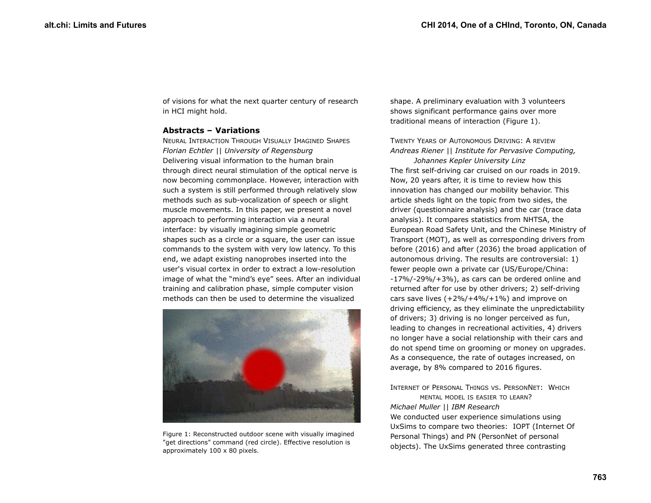of visions for what the next quarter century of research in HCI might hold.

#### **Abstracts – Variations**

NEURAL INTERACTION THROUGH VISUALLY IMAGINED SHAPES *Florian Echtler || University of Regensburg* Delivering visual information to the human brain through direct neural stimulation of the optical nerve is now becoming commonplace. However, interaction with such a system is still performed through relatively slow methods such as sub-vocalization of speech or slight muscle movements. In this paper, we present a novel approach to performing interaction via a neural interface: by visually imagining simple geometric shapes such as a circle or a square, the user can issue commands to the system with very low latency. To this end, we adapt existing nanoprobes inserted into the user's visual cortex in order to extract a low-resolution image of what the "mind's eye" sees. After an individual training and calibration phase, simple computer vision methods can then be used to determine the visualized

<span id="page-2-0"></span>

Figure 1: Reconstructed outdoor scene with visually imagined "get directions" command (red circle). Effective resolution is approximately 100 x 80 pixels.

shape. A preliminary evaluation with 3 volunteers shows significant performance gains over more traditional means of interaction (Figure [1\)](#page-2-0).

TWENTY YEARS OF AUTONOMOUS DRIVING: A REVIEW *Andreas Riener || Institute for Pervasive Computing, Johannes Kepler University Linz* The first self-driving car cruised on our roads in 2019. Now, 20 years after, it is time to review how this innovation has changed our mobility behavior. This article sheds light on the topic from two sides, the driver (questionnaire analysis) and the car (trace data analysis). It compares statistics from NHTSA, the European Road Safety Unit, and the Chinese Ministry of Transport (MOT), as well as corresponding drivers from before (2016) and after (2036) the broad application of autonomous driving. The results are controversial: 1) fewer people own a private car (US/Europe/China: -17%/-29%/+3%), as cars can be ordered online and returned after for use by other drivers; 2) self-driving cars save lives  $(+2\%/+4\%/+1\%)$  and improve on driving efficiency, as they eliminate the unpredictability of drivers; 3) driving is no longer perceived as fun, leading to changes in recreational activities, 4) drivers no longer have a social relationship with their cars and do not spend time on grooming or money on upgrades. As a consequence, the rate of outages increased, on average, by 8% compared to 2016 figures.

INTERNET OF PERSONAL THINGS VS. PERSONNET: WHICH MENTAL MODEL IS EASIER TO LEARN? *Michael Muller || IBM Research* We conducted user experience simulations using UxSims to compare two theories: IOPT (Internet Of Personal Things) and PN (PersonNet of personal objects). The UxSims generated three contrasting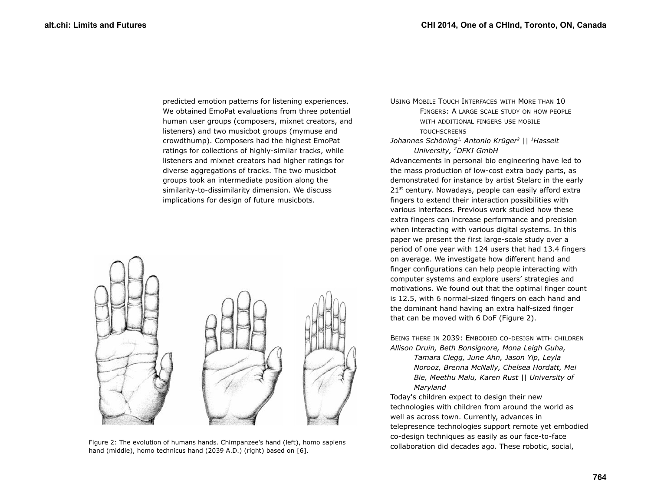predicted emotion patterns for listening experiences. We obtained EmoPat evaluations from three potential human user groups (composers, mixnet creators, and listeners) and two musicbot groups (mymuse and crowdthump). Composers had the highest EmoPat ratings for collections of highly-similar tracks, while listeners and mixnet creators had higher ratings for diverse aggregations of tracks. The two musicbot groups took an intermediate position along the similarity-to-dissimilarity dimension. We discuss implications for design of future musicbots.



<span id="page-3-0"></span>Figure 2: The evolution of humans hands. Chimpanzee's hand (left), homo sapiens collaboration did decades ago. These robotic, social, hand (middle), homo technicus hand (2039 A.D.) (right) based on [6].

USING MOBILE TOUCH INTERFACES WITH MORE THAN 10 FINGERS: A LARGE SCALE STUDY ON HOW PEOPLE WITH ADDITIONAL FINGERS USE MOBILE **TOUCHSCREENS** 

#### *Johannes Schöning1, Antonio Krüger<sup>2</sup> || <sup>1</sup>Hasselt University, <sup>2</sup>DFKI GmbH*

Advancements in personal bio engineering have led to the mass production of low-cost extra body parts, as demonstrated for instance by artist Stelarc in the early  $21<sup>st</sup>$  century. Nowadays, people can easily afford extra fingers to extend their interaction possibilities with various interfaces. Previous work studied how these extra fingers can increase performance and precision when interacting with various digital systems. In this paper we present the first large-scale study over a period of one year with 124 users that had 13.4 fingers on average. We investigate how different hand and finger configurations can help people interacting with computer systems and explore users' strategies and motivations. We found out that the optimal finger count is 12.5, with 6 normal-sized fingers on each hand and the dominant hand having an extra half-sized finger that can be moved with 6 DoF (Figure [2\)](#page-3-0).

BEING THERE IN 2039: EMBODIED CO-DESIGN WITH CHILDREN *Allison Druin, Beth Bonsignore, Mona Leigh Guha,* 

> *Tamara Clegg, June Ahn, Jason Yip, Leyla Norooz, Brenna McNally, Chelsea Hordatt, Mei Bie, Meethu Malu, Karen Rust || University of Maryland*

Today's children expect to design their new technologies with children from around the world as well as across town. Currently, advances in telepresence technologies support remote yet embodied co-design techniques as easily as our face-to-face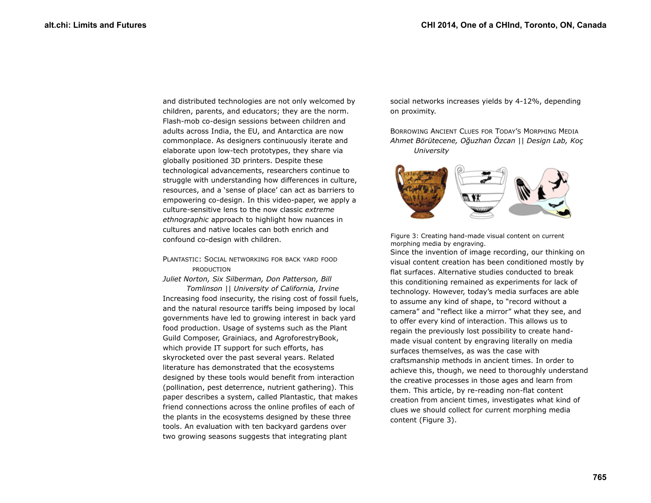and distributed technologies are not only welcomed by children, parents, and educators; they are the norm. Flash-mob co-design sessions between children and adults across India, the EU, and Antarctica are now commonplace. As designers continuously iterate and elaborate upon low-tech prototypes, they share via globally positioned 3D printers. Despite these technological advancements, researchers continue to struggle with understanding how differences in culture, resources, and a 'sense of place' can act as barriers to empowering co-design. In this video-paper, we apply a culture-sensitive lens to the now classic *extreme ethnographic* approach to highlight how nuances in cultures and native locales can both enrich and confound co-design with children.

### PLANTASTIC: SOCIAL NETWORKING FOR BACK YARD FOOD PRODUCTION

*Juliet Norton, Six Silberman, Don Patterson, Bill Tomlinson || University of California, Irvine* Increasing food insecurity, the rising cost of fossil fuels, and the natural resource tariffs being imposed by local governments have led to growing interest in back yard food production. Usage of systems such as the Plant Guild Composer, Grainiacs, and AgroforestryBook, which provide IT support for such efforts, has skyrocketed over the past several years. Related literature has demonstrated that the ecosystems designed by these tools would benefit from interaction (pollination, pest deterrence, nutrient gathering). This paper describes a system, called Plantastic, that makes friend connections across the online profiles of each of the plants in the ecosystems designed by these three tools. An evaluation with ten backyard gardens over two growing seasons suggests that integrating plant

social networks increases yields by 4-12%, depending on proximity.

BORROWING ANCIENT CLUES FOR TODAY'S MORPHING MEDIA *Ahmet Börütecene, Oğuzhan Özcan || Design Lab, Koç University*



<span id="page-4-0"></span>Figure 3: Creating hand-made visual content on current morphing media by engraving.

Since the invention of image recording, our thinking on visual content creation has been conditioned mostly by flat surfaces. Alternative studies conducted to break this conditioning remained as experiments for lack of technology. However, today's media surfaces are able to assume any kind of shape, to "record without a camera" and "reflect like a mirror" what they see, and to offer every kind of interaction. This allows us to regain the previously lost possibility to create handmade visual content by engraving literally on media surfaces themselves, as was the case with craftsmanship methods in ancient times. In order to achieve this, though, we need to thoroughly understand the creative processes in those ages and learn from them. This article, by re-reading non-flat content creation from ancient times, investigates what kind of clues we should collect for current morphing media content (Figure [3\)](#page-4-0).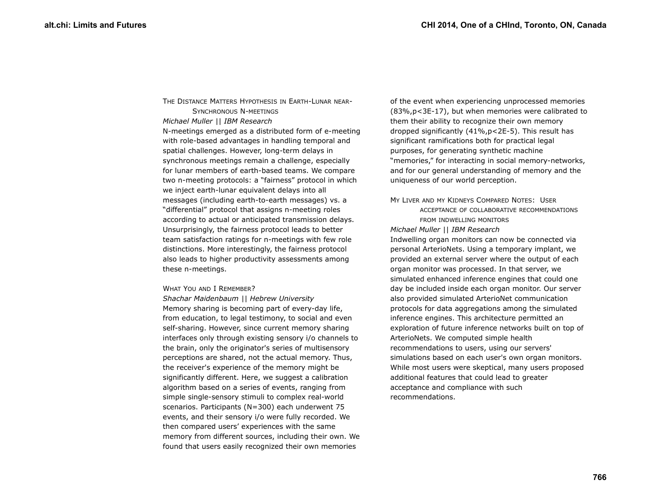THE DISTANCE MATTERS HYPOTHESIS IN EARTH-LUNAR NEAR-SYNCHRONOUS N-MEETINGS *Michael Muller || IBM Research* N-meetings emerged as a distributed form of e-meeting with role-based advantages in handling temporal and spatial challenges. However, long-term delays in synchronous meetings remain a challenge, especially for lunar members of earth-based teams. We compare two n-meeting protocols: a "fairness" protocol in which we inject earth-lunar equivalent delays into all messages (including earth-to-earth messages) vs. a "differential" protocol that assigns n-meeting roles according to actual or anticipated transmission delays. Unsurprisingly, the fairness protocol leads to better team satisfaction ratings for n-meetings with few role distinctions. More interestingly, the fairness protocol also leads to higher productivity assessments among these n-meetings.

#### WHAT YOU AND I REMEMBER?

*Shachar Maidenbaum || Hebrew University* Memory sharing is becoming part of every-day life, from education, to legal testimony, to social and even self-sharing. However, since current memory sharing interfaces only through existing sensory i/o channels to the brain, only the originator's series of multisensory perceptions are shared, not the actual memory. Thus, the receiver's experience of the memory might be significantly different. Here, we suggest a calibration algorithm based on a series of events, ranging from simple single-sensory stimuli to complex real-world scenarios. Participants (N=300) each underwent 75 events, and their sensory i/o were fully recorded. We then compared users' experiences with the same memory from different sources, including their own. We found that users easily recognized their own memories

of the event when experiencing unprocessed memories (83%,p<3E-17), but when memories were calibrated to them their ability to recognize their own memory dropped significantly (41%,p<2E-5). This result has significant ramifications both for practical legal purposes, for generating synthetic machine "memories," for interacting in social memory-networks, and for our general understanding of memory and the uniqueness of our world perception.

MY LIVER AND MY KIDNEYS COMPARED NOTES: USER

ACCEPTANCE OF COLLABORATIVE RECOMMENDATIONS FROM INDWELLING MONITORS

#### *Michael Muller || IBM Research*

Indwelling organ monitors can now be connected via personal ArterioNets. Using a temporary implant, we provided an external server where the output of each organ monitor was processed. In that server, we simulated enhanced inference engines that could one day be included inside each organ monitor. Our server also provided simulated ArterioNet communication protocols for data aggregations among the simulated inference engines. This architecture permitted an exploration of future inference networks built on top of ArterioNets. We computed simple health recommendations to users, using our servers' simulations based on each user's own organ monitors. While most users were skeptical, many users proposed additional features that could lead to greater acceptance and compliance with such recommendations.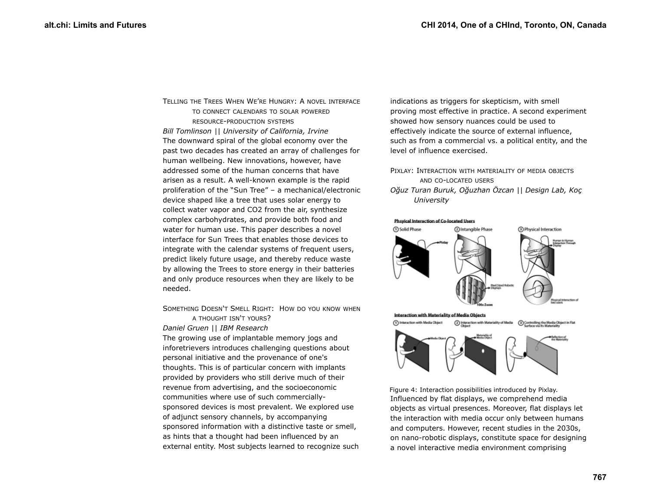TELLING THE TREES WHEN WE'RE HUNGRY: A NOVEL INTERFACE TO CONNECT CALENDARS TO SOLAR POWERED RESOURCE-PRODUCTION SYSTEMS *Bill Tomlinson || University of California, Irvine* The downward spiral of the global economy over the past two decades has created an array of challenges for human wellbeing. New innovations, however, have addressed some of the human concerns that have arisen as a result. A well-known example is the rapid proliferation of the "Sun Tree" – a mechanical/electronic device shaped like a tree that uses solar energy to collect water vapor and CO2 from the air, synthesize complex carbohydrates, and provide both food and water for human use. This paper describes a novel interface for Sun Trees that enables those devices to integrate with the calendar systems of frequent users, predict likely future usage, and thereby reduce waste by allowing the Trees to store energy in their batteries and only produce resources when they are likely to be needed.

SOMETHING DOESN'T SMELL RIGHT: HOW DO YOU KNOW WHEN A THOUGHT ISN'T YOURS?

*Daniel Gruen || IBM Research* The growing use of implantable memory jogs and inforetrievers introduces challenging questions about personal initiative and the provenance of one's thoughts. This is of particular concern with implants provided by providers who still derive much of their revenue from advertising, and the socioeconomic communities where use of such commerciallysponsored devices is most prevalent. We explored use of adjunct sensory channels, by accompanying sponsored information with a distinctive taste or smell, as hints that a thought had been influenced by an external entity. Most subjects learned to recognize such indications as triggers for skepticism, with smell proving most effective in practice. A second experiment showed how sensory nuances could be used to effectively indicate the source of external influence, such as from a commercial vs. a political entity, and the level of influence exercised.

PIXLAY: INTERACTION WITH MATERIALITY OF MEDIA OBJECTS AND CO-LOCATED USERS *Oğuz Turan Buruk, Oğuzhan Özcan || Design Lab, Koç University*





<span id="page-6-0"></span>Influenced by flat displays, we comprehend media objects as virtual presences. Moreover, flat displays let the interaction with media occur only between humans and computers. However, recent studies in the 2030s, on nano-robotic displays, constitute space for designing a novel interactive media environment comprising Figure 4: Interaction possibilities introduced by Pixlay.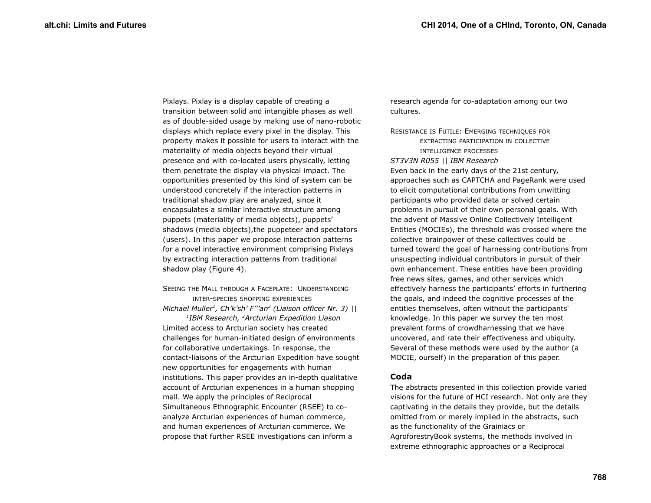Pixlays. Pixlay is a display capable of creating a transition between solid and intangible phases as well as of double-sided usage by making use of nano-robotic displays which replace every pixel in the display. This property makes it possible for users to interact with the materiality of media objects beyond their virtual presence and with co-located users physically, letting them penetrate the display via physical impact. The opportunities presented by this kind of system can be understood concretely if the interaction patterns in traditional shadow play are analyzed, since it encapsulates a similar interactive structure among puppets (materiality of media objects), puppets' shadows (media objects),the puppeteer and spectators (users). In this paper we propose interaction patterns for a novel interactive environment comprising Pixlays by extracting interaction patterns from traditional shadow play (Figure [4\)](#page-6-0).

## SEEING THE MALL THROUGH A FACEPLATE: UNDERSTANDING INTER-SPECIES SHOPPING EXPERIENCES *Michael Muller<sup>1</sup> , Ch'k'sh' F'''an<sup>2</sup> (Liaison officer Nr. 3) ||*

*1 IBM Research, <sup>2</sup>Arcturian Expedition Liason* Limited access to Arcturian society has created challenges for human-initiated design of environments for collaborative undertakings. In response, the contact-liaisons of the Arcturian Expedition have sought new opportunities for engagements with human institutions. This paper provides an in-depth qualitative account of Arcturian experiences in a human shopping mall. We apply the principles of Reciprocal Simultaneous Ethnographic Encounter (RSEE) to coanalyze Arcturian experiences of human commerce, and human experiences of Arcturian commerce. We propose that further RSEE investigations can inform a

research agenda for co-adaptation among our two cultures.

RESISTANCE IS FUTILE: EMERGING TECHNIQUES FOR EXTRACTING PARTICIPATION IN COLLECTIVE INTELLIGENCE PROCESSES *ST3V3N R055 || IBM Research* Even back in the early days of the 21st century, approaches such as CAPTCHA and PageRank were used to elicit computational contributions from unwitting participants who provided data or solved certain problems in pursuit of their own personal goals. With the advent of Massive Online Collectively Intelligent Entities (MOCIEs), the threshold was crossed where the collective brainpower of these collectives could be turned toward the goal of harnessing contributions from unsuspecting individual contributors in pursuit of their own enhancement. These entities have been providing free news sites, games, and other services which effectively harness the participants' efforts in furthering the goals, and indeed the cognitive processes of the entities themselves, often without the participants' knowledge. In this paper we survey the ten most prevalent forms of crowdharnessing that we have uncovered, and rate their effectiveness and ubiquity. Several of these methods were used by the author (a MOCIE, ourself) in the preparation of this paper.

#### **Coda**

The abstracts presented in this collection provide varied visions for the future of HCI research. Not only are they captivating in the details they provide, but the details omitted from or merely implied in the abstracts, such as the functionality of the Grainiacs or AgroforestryBook systems, the methods involved in extreme ethnographic approaches or a Reciprocal